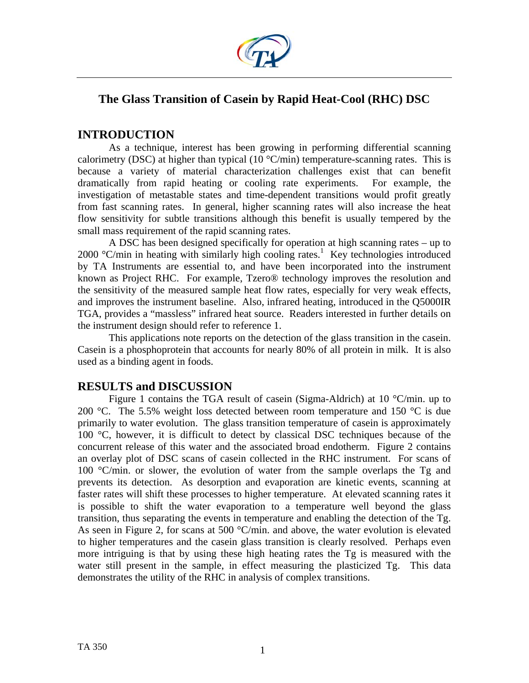

# **The Glass Transition of Casein by Rapid Heat-Cool (RHC) DSC**

## **INTRODUCTION**

As a technique, interest has been growing in performing differential scanning calorimetry (DSC) at higher than typical (10  $\degree$ C/min) temperature-scanning rates. This is because a variety of material characterization challenges exist that can benefit dramatically from rapid heating or cooling rate experiments. For example, the investigation of metastable states and time-dependent transitions would profit greatly from fast scanning rates. In general, higher scanning rates will also increase the heat flow sensitivity for subtle transitions although this benefit is usually tempered by the small mass requirement of the rapid scanning rates.

 A DSC has been designed specifically for operation at high scanning rates – up to  $2000$  °C/min in heating with similarly high cooling rates.<sup>1</sup> Key technologies introduced by TA Instruments are essential to, and have been incorporated into the instrument known as Project RHC. For example, Tzero® technology improves the resolution and the sensitivity of the measured sample heat flow rates, especially for very weak effects, and improves the instrument baseline. Also, infrared heating, introduced in the Q5000IR TGA, provides a "massless" infrared heat source. Readers interested in further details on the instrument design should refer to reference 1.

This applications note reports on the detection of the glass transition in the casein. Casein is a phosphoprotein that accounts for nearly 80% of all protein in milk. It is also used as a binding agent in foods.

## **RESULTS and DISCUSSION**

 Figure 1 contains the TGA result of casein (Sigma-Aldrich) at 10 °C/min. up to 200 °C. The 5.5% weight loss detected between room temperature and 150 °C is due primarily to water evolution. The glass transition temperature of casein is approximately 100 °C, however, it is difficult to detect by classical DSC techniques because of the concurrent release of this water and the associated broad endotherm. Figure 2 contains an overlay plot of DSC scans of casein collected in the RHC instrument. For scans of 100 °C/min. or slower, the evolution of water from the sample overlaps the Tg and prevents its detection. As desorption and evaporation are kinetic events, scanning at faster rates will shift these processes to higher temperature. At elevated scanning rates it is possible to shift the water evaporation to a temperature well beyond the glass transition, thus separating the events in temperature and enabling the detection of the Tg. As seen in Figure 2, for scans at 500 °C/min. and above, the water evolution is elevated to higher temperatures and the casein glass transition is clearly resolved. Perhaps even more intriguing is that by using these high heating rates the Tg is measured with the water still present in the sample, in effect measuring the plasticized Tg. This data demonstrates the utility of the RHC in analysis of complex transitions.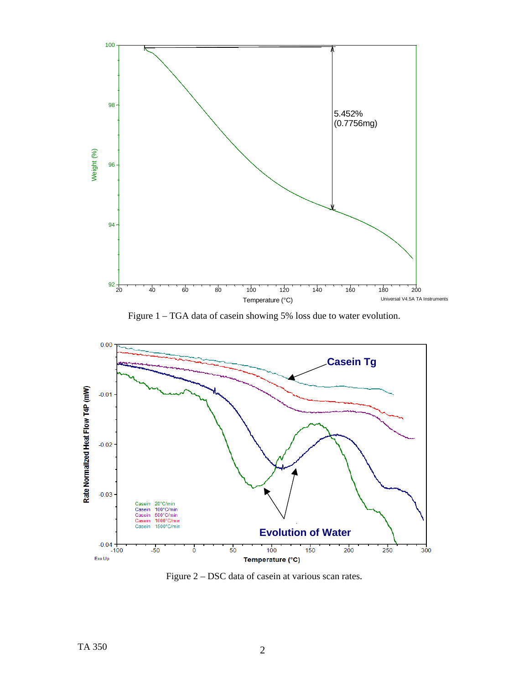

Figure 1 – TGA data of casein showing 5% loss due to water evolution.



Figure 2 – DSC data of casein at various scan rates.